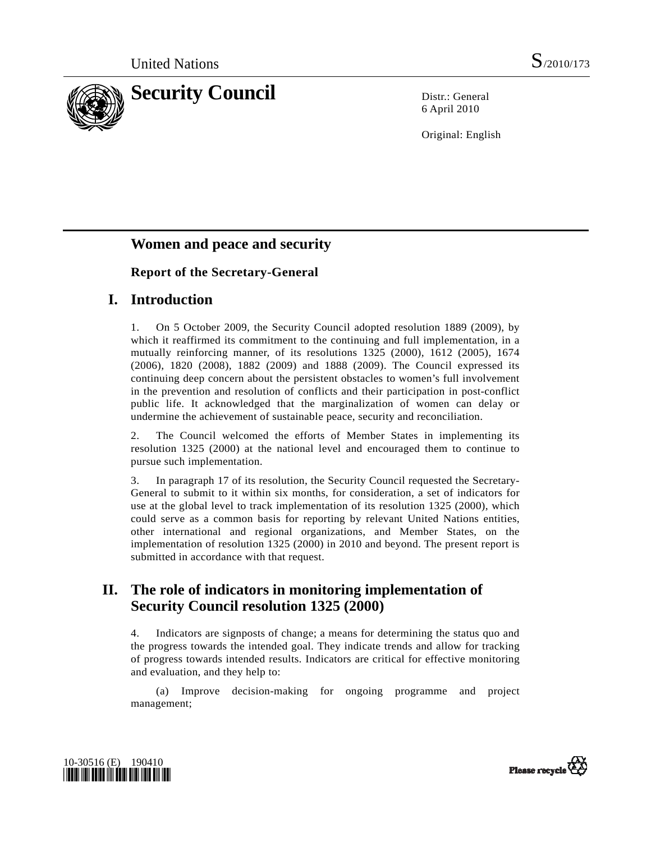

6 April 2010

Original: English

# **Women and peace and security**

# **Report of the Secretary-General**

# **I. Introduction**

1. On 5 October 2009, the Security Council adopted resolution 1889 (2009), by which it reaffirmed its commitment to the continuing and full implementation, in a mutually reinforcing manner, of its resolutions 1325 (2000), 1612 (2005), 1674 (2006), 1820 (2008), 1882 (2009) and 1888 (2009). The Council expressed its continuing deep concern about the persistent obstacles to women's full involvement in the prevention and resolution of conflicts and their participation in post-conflict public life. It acknowledged that the marginalization of women can delay or undermine the achievement of sustainable peace, security and reconciliation.

2. The Council welcomed the efforts of Member States in implementing its resolution 1325 (2000) at the national level and encouraged them to continue to pursue such implementation.

3. In paragraph 17 of its resolution, the Security Council requested the Secretary-General to submit to it within six months, for consideration, a set of indicators for use at the global level to track implementation of its resolution 1325 (2000), which could serve as a common basis for reporting by relevant United Nations entities, other international and regional organizations, and Member States, on the implementation of resolution 1325 (2000) in 2010 and beyond. The present report is submitted in accordance with that request.

# **II. The role of indicators in monitoring implementation of Security Council resolution 1325 (2000)**

4. Indicators are signposts of change; a means for determining the status quo and the progress towards the intended goal. They indicate trends and allow for tracking of progress towards intended results. Indicators are critical for effective monitoring and evaluation, and they help to:

 (a) Improve decision-making for ongoing programme and project management;



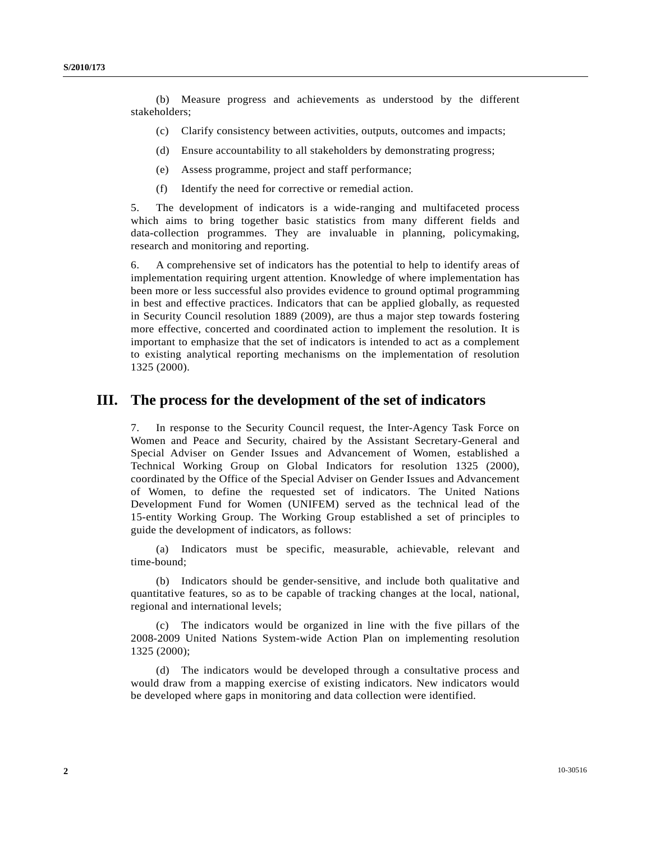(b) Measure progress and achievements as understood by the different stakeholders;

- (c) Clarify consistency between activities, outputs, outcomes and impacts;
- (d) Ensure accountability to all stakeholders by demonstrating progress;
- (e) Assess programme, project and staff performance;
- (f) Identify the need for corrective or remedial action.

5. The development of indicators is a wide-ranging and multifaceted process which aims to bring together basic statistics from many different fields and data-collection programmes. They are invaluable in planning, policymaking, research and monitoring and reporting.

6. A comprehensive set of indicators has the potential to help to identify areas of implementation requiring urgent attention. Knowledge of where implementation has been more or less successful also provides evidence to ground optimal programming in best and effective practices. Indicators that can be applied globally, as requested in Security Council resolution 1889 (2009), are thus a major step towards fostering more effective, concerted and coordinated action to implement the resolution. It is important to emphasize that the set of indicators is intended to act as a complement to existing analytical reporting mechanisms on the implementation of resolution 1325 (2000).

# **III. The process for the development of the set of indicators**

7. In response to the Security Council request, the Inter-Agency Task Force on Women and Peace and Security, chaired by the Assistant Secretary-General and Special Adviser on Gender Issues and Advancement of Women, established a Technical Working Group on Global Indicators for resolution 1325 (2000), coordinated by the Office of the Special Adviser on Gender Issues and Advancement of Women, to define the requested set of indicators. The United Nations Development Fund for Women (UNIFEM) served as the technical lead of the 15-entity Working Group. The Working Group established a set of principles to guide the development of indicators, as follows:

 (a) Indicators must be specific, measurable, achievable, relevant and time-bound;

 (b) Indicators should be gender-sensitive, and include both qualitative and quantitative features, so as to be capable of tracking changes at the local, national, regional and international levels;

 (c) The indicators would be organized in line with the five pillars of the 2008-2009 United Nations System-wide Action Plan on implementing resolution 1325 (2000);

 (d) The indicators would be developed through a consultative process and would draw from a mapping exercise of existing indicators. New indicators would be developed where gaps in monitoring and data collection were identified.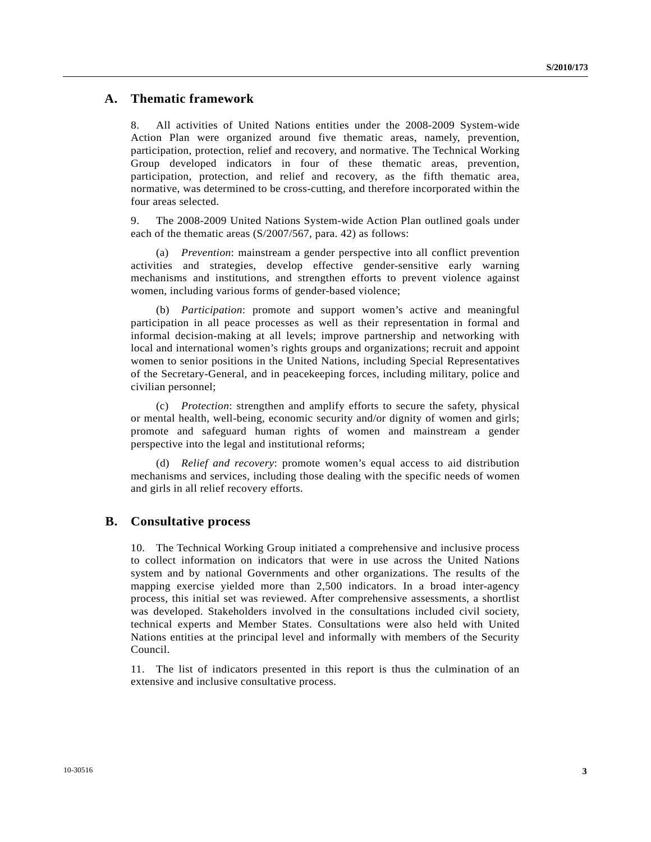# **A. Thematic framework**

8. All activities of United Nations entities under the 2008-2009 System-wide Action Plan were organized around five thematic areas, namely, prevention, participation, protection, relief and recovery, and normative. The Technical Working Group developed indicators in four of these thematic areas, prevention, participation, protection, and relief and recovery, as the fifth thematic area, normative, was determined to be cross-cutting, and therefore incorporated within the four areas selected.

9. The 2008-2009 United Nations System-wide Action Plan outlined goals under each of the thematic areas (S/2007/567, para. 42) as follows:

 (a) *Prevention*: mainstream a gender perspective into all conflict prevention activities and strategies, develop effective gender-sensitive early warning mechanisms and institutions, and strengthen efforts to prevent violence against women, including various forms of gender-based violence;

 (b) *Participation*: promote and support women's active and meaningful participation in all peace processes as well as their representation in formal and informal decision-making at all levels; improve partnership and networking with local and international women's rights groups and organizations; recruit and appoint women to senior positions in the United Nations, including Special Representatives of the Secretary-General, and in peacekeeping forces, including military, police and civilian personnel;

 (c) *Protection*: strengthen and amplify efforts to secure the safety, physical or mental health, well-being, economic security and/or dignity of women and girls; promote and safeguard human rights of women and mainstream a gender perspective into the legal and institutional reforms;

 (d) *Relief and recovery*: promote women's equal access to aid distribution mechanisms and services, including those dealing with the specific needs of women and girls in all relief recovery efforts.

## **B. Consultative process**

10. The Technical Working Group initiated a comprehensive and inclusive process to collect information on indicators that were in use across the United Nations system and by national Governments and other organizations. The results of the mapping exercise yielded more than 2,500 indicators. In a broad inter-agency process, this initial set was reviewed. After comprehensive assessments, a shortlist was developed. Stakeholders involved in the consultations included civil society, technical experts and Member States. Consultations were also held with United Nations entities at the principal level and informally with members of the Security Council.

11. The list of indicators presented in this report is thus the culmination of an extensive and inclusive consultative process.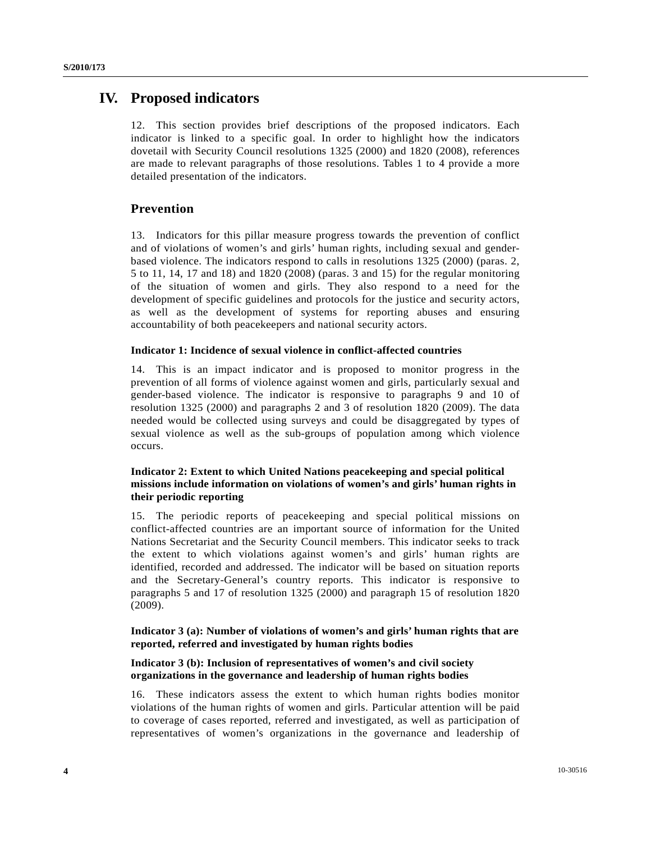# **IV. Proposed indicators**

12. This section provides brief descriptions of the proposed indicators. Each indicator is linked to a specific goal. In order to highlight how the indicators dovetail with Security Council resolutions 1325 (2000) and 1820 (2008), references are made to relevant paragraphs of those resolutions. Tables 1 to 4 provide a more detailed presentation of the indicators.

## **Prevention**

13. Indicators for this pillar measure progress towards the prevention of conflict and of violations of women's and girls' human rights, including sexual and genderbased violence. The indicators respond to calls in resolutions 1325 (2000) (paras. 2, 5 to 11, 14, 17 and 18) and 1820 (2008) (paras. 3 and 15) for the regular monitoring of the situation of women and girls. They also respond to a need for the development of specific guidelines and protocols for the justice and security actors, as well as the development of systems for reporting abuses and ensuring accountability of both peacekeepers and national security actors.

#### **Indicator 1: Incidence of sexual violence in conflict-affected countries**

14. This is an impact indicator and is proposed to monitor progress in the prevention of all forms of violence against women and girls, particularly sexual and gender-based violence. The indicator is responsive to paragraphs 9 and 10 of resolution 1325 (2000) and paragraphs 2 and 3 of resolution 1820 (2009). The data needed would be collected using surveys and could be disaggregated by types of sexual violence as well as the sub-groups of population among which violence occurs.

## **Indicator 2: Extent to which United Nations peacekeeping and special political missions include information on violations of women's and girls' human rights in their periodic reporting**

15. The periodic reports of peacekeeping and special political missions on conflict-affected countries are an important source of information for the United Nations Secretariat and the Security Council members. This indicator seeks to track the extent to which violations against women's and girls' human rights are identified, recorded and addressed. The indicator will be based on situation reports and the Secretary-General's country reports. This indicator is responsive to paragraphs 5 and 17 of resolution 1325 (2000) and paragraph 15 of resolution 1820 (2009).

## **Indicator 3 (a): Number of violations of women's and girls' human rights that are reported, referred and investigated by human rights bodies**

## **Indicator 3 (b): Inclusion of representatives of women's and civil society organizations in the governance and leadership of human rights bodies**

16. These indicators assess the extent to which human rights bodies monitor violations of the human rights of women and girls. Particular attention will be paid to coverage of cases reported, referred and investigated, as well as participation of representatives of women's organizations in the governance and leadership of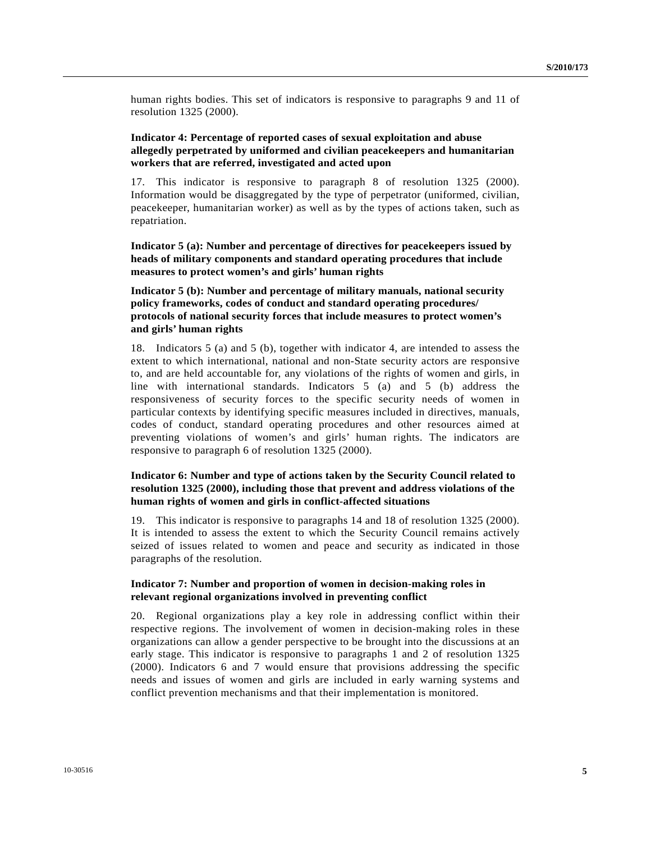human rights bodies. This set of indicators is responsive to paragraphs 9 and 11 of resolution 1325 (2000).

## **Indicator 4: Percentage of reported cases of sexual exploitation and abuse allegedly perpetrated by uniformed and civilian peacekeepers and humanitarian workers that are referred, investigated and acted upon**

17. This indicator is responsive to paragraph 8 of resolution 1325 (2000). Information would be disaggregated by the type of perpetrator (uniformed, civilian, peacekeeper, humanitarian worker) as well as by the types of actions taken, such as repatriation.

 **Indicator 5 (a): Number and percentage of directives for peacekeepers issued by heads of military components and standard operating procedures that include measures to protect women's and girls' human rights** 

## **Indicator 5 (b): Number and percentage of military manuals, national security policy frameworks, codes of conduct and standard operating procedures/ protocols of national security forces that include measures to protect women's and girls' human rights**

18. Indicators 5 (a) and 5 (b), together with indicator 4, are intended to assess the extent to which international, national and non-State security actors are responsive to, and are held accountable for, any violations of the rights of women and girls, in line with international standards. Indicators 5 (a) and 5 (b) address the responsiveness of security forces to the specific security needs of women in particular contexts by identifying specific measures included in directives, manuals, codes of conduct, standard operating procedures and other resources aimed at preventing violations of women's and girls' human rights. The indicators are responsive to paragraph 6 of resolution 1325 (2000).

## **Indicator 6: Number and type of actions taken by the Security Council related to resolution 1325 (2000), including those that prevent and address violations of the human rights of women and girls in conflict-affected situations**

19. This indicator is responsive to paragraphs 14 and 18 of resolution 1325 (2000). It is intended to assess the extent to which the Security Council remains actively seized of issues related to women and peace and security as indicated in those paragraphs of the resolution.

## **Indicator 7: Number and proportion of women in decision-making roles in relevant regional organizations involved in preventing conflict**

20. Regional organizations play a key role in addressing conflict within their respective regions. The involvement of women in decision-making roles in these organizations can allow a gender perspective to be brought into the discussions at an early stage. This indicator is responsive to paragraphs 1 and 2 of resolution 1325 (2000). Indicators 6 and 7 would ensure that provisions addressing the specific needs and issues of women and girls are included in early warning systems and conflict prevention mechanisms and that their implementation is monitored.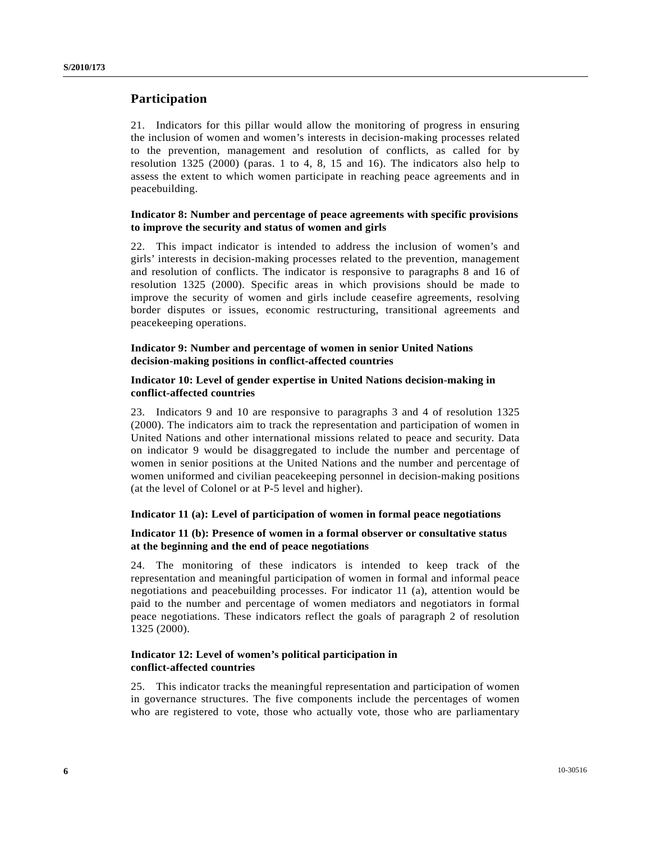# **Participation**

21. Indicators for this pillar would allow the monitoring of progress in ensuring the inclusion of women and women's interests in decision-making processes related to the prevention, management and resolution of conflicts, as called for by resolution 1325 (2000) (paras. 1 to 4, 8, 15 and 16). The indicators also help to assess the extent to which women participate in reaching peace agreements and in peacebuilding.

## **Indicator 8: Number and percentage of peace agreements with specific provisions to improve the security and status of women and girls**

22. This impact indicator is intended to address the inclusion of women's and girls' interests in decision-making processes related to the prevention, management and resolution of conflicts. The indicator is responsive to paragraphs 8 and 16 of resolution 1325 (2000). Specific areas in which provisions should be made to improve the security of women and girls include ceasefire agreements, resolving border disputes or issues, economic restructuring, transitional agreements and peacekeeping operations.

### **Indicator 9: Number and percentage of women in senior United Nations decision-making positions in conflict-affected countries**

#### **Indicator 10: Level of gender expertise in United Nations decision-making in conflict-affected countries**

23. Indicators 9 and 10 are responsive to paragraphs 3 and 4 of resolution 1325 (2000). The indicators aim to track the representation and participation of women in United Nations and other international missions related to peace and security. Data on indicator 9 would be disaggregated to include the number and percentage of women in senior positions at the United Nations and the number and percentage of women uniformed and civilian peacekeeping personnel in decision-making positions (at the level of Colonel or at P-5 level and higher).

## **Indicator 11 (a): Level of participation of women in formal peace negotiations**

## **Indicator 11 (b): Presence of women in a formal observer or consultative status at the beginning and the end of peace negotiations**

24. The monitoring of these indicators is intended to keep track of the representation and meaningful participation of women in formal and informal peace negotiations and peacebuilding processes. For indicator 11 (a), attention would be paid to the number and percentage of women mediators and negotiators in formal peace negotiations. These indicators reflect the goals of paragraph 2 of resolution 1325 (2000).

## **Indicator 12: Level of women's political participation in conflict-affected countries**

25. This indicator tracks the meaningful representation and participation of women in governance structures. The five components include the percentages of women who are registered to vote, those who actually vote, those who are parliamentary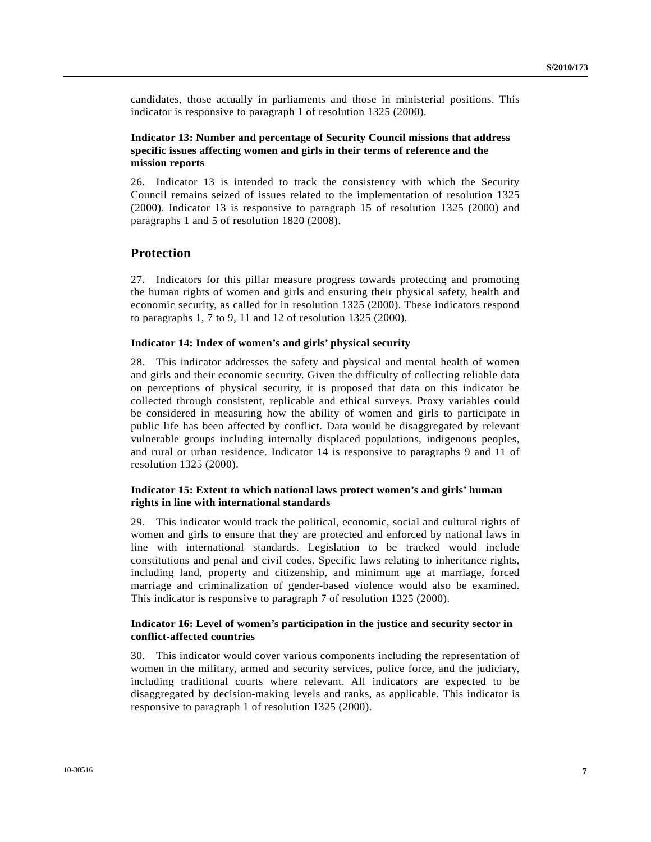candidates, those actually in parliaments and those in ministerial positions. This indicator is responsive to paragraph 1 of resolution 1325 (2000).

## **Indicator 13: Number and percentage of Security Council missions that address specific issues affecting women and girls in their terms of reference and the mission reports**

26. Indicator 13 is intended to track the consistency with which the Security Council remains seized of issues related to the implementation of resolution 1325 (2000). Indicator 13 is responsive to paragraph 15 of resolution 1325 (2000) and paragraphs 1 and 5 of resolution 1820 (2008).

# **Protection**

27. Indicators for this pillar measure progress towards protecting and promoting the human rights of women and girls and ensuring their physical safety, health and economic security, as called for in resolution 1325 (2000). These indicators respond to paragraphs 1, 7 to 9, 11 and 12 of resolution 1325 (2000).

#### **Indicator 14: Index of women's and girls' physical security**

28. This indicator addresses the safety and physical and mental health of women and girls and their economic security. Given the difficulty of collecting reliable data on perceptions of physical security, it is proposed that data on this indicator be collected through consistent, replicable and ethical surveys. Proxy variables could be considered in measuring how the ability of women and girls to participate in public life has been affected by conflict. Data would be disaggregated by relevant vulnerable groups including internally displaced populations, indigenous peoples, and rural or urban residence. Indicator 14 is responsive to paragraphs 9 and 11 of resolution 1325 (2000).

## **Indicator 15: Extent to which national laws protect women's and girls' human rights in line with international standards**

29. This indicator would track the political, economic, social and cultural rights of women and girls to ensure that they are protected and enforced by national laws in line with international standards. Legislation to be tracked would include constitutions and penal and civil codes. Specific laws relating to inheritance rights, including land, property and citizenship, and minimum age at marriage, forced marriage and criminalization of gender-based violence would also be examined. This indicator is responsive to paragraph 7 of resolution 1325 (2000).

#### **Indicator 16: Level of women's participation in the justice and security sector in conflict-affected countries**

30. This indicator would cover various components including the representation of women in the military, armed and security services, police force, and the judiciary, including traditional courts where relevant. All indicators are expected to be disaggregated by decision-making levels and ranks, as applicable. This indicator is responsive to paragraph 1 of resolution 1325 (2000).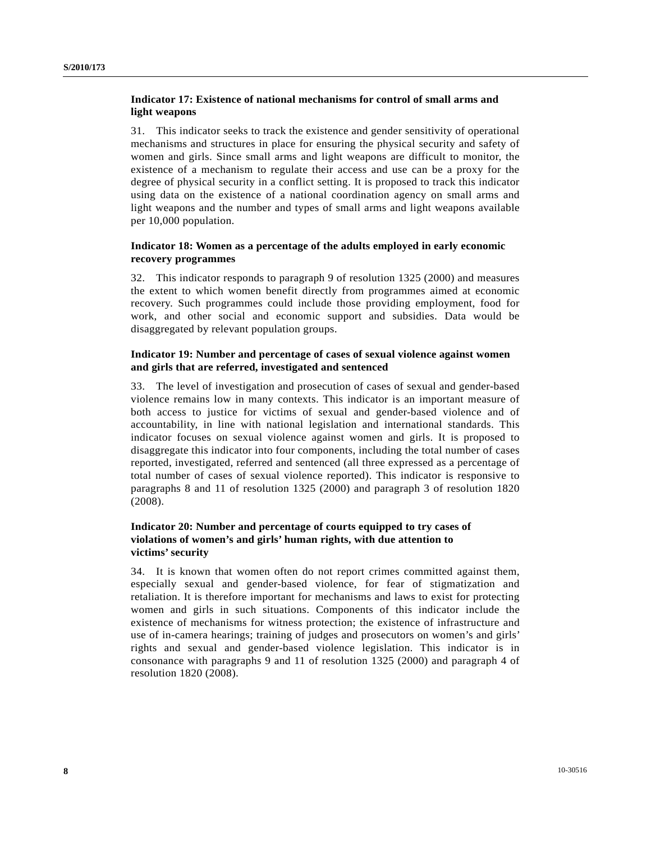## **Indicator 17: Existence of national mechanisms for control of small arms and light weapons**

31. This indicator seeks to track the existence and gender sensitivity of operational mechanisms and structures in place for ensuring the physical security and safety of women and girls. Since small arms and light weapons are difficult to monitor, the existence of a mechanism to regulate their access and use can be a proxy for the degree of physical security in a conflict setting. It is proposed to track this indicator using data on the existence of a national coordination agency on small arms and light weapons and the number and types of small arms and light weapons available per 10,000 population.

## **Indicator 18: Women as a percentage of the adults employed in early economic recovery programmes**

32. This indicator responds to paragraph 9 of resolution 1325 (2000) and measures the extent to which women benefit directly from programmes aimed at economic recovery. Such programmes could include those providing employment, food for work, and other social and economic support and subsidies. Data would be disaggregated by relevant population groups.

## **Indicator 19: Number and percentage of cases of sexual violence against women and girls that are referred, investigated and sentenced**

33. The level of investigation and prosecution of cases of sexual and gender-based violence remains low in many contexts. This indicator is an important measure of both access to justice for victims of sexual and gender-based violence and of accountability, in line with national legislation and international standards. This indicator focuses on sexual violence against women and girls. It is proposed to disaggregate this indicator into four components, including the total number of cases reported, investigated, referred and sentenced (all three expressed as a percentage of total number of cases of sexual violence reported). This indicator is responsive to paragraphs 8 and 11 of resolution 1325 (2000) and paragraph 3 of resolution 1820 (2008).

## **Indicator 20: Number and percentage of courts equipped to try cases of violations of women's and girls' human rights, with due attention to victims' security**

34. It is known that women often do not report crimes committed against them, especially sexual and gender-based violence, for fear of stigmatization and retaliation. It is therefore important for mechanisms and laws to exist for protecting women and girls in such situations. Components of this indicator include the existence of mechanisms for witness protection; the existence of infrastructure and use of in-camera hearings; training of judges and prosecutors on women's and girls' rights and sexual and gender-based violence legislation. This indicator is in consonance with paragraphs 9 and 11 of resolution 1325 (2000) and paragraph 4 of resolution 1820 (2008).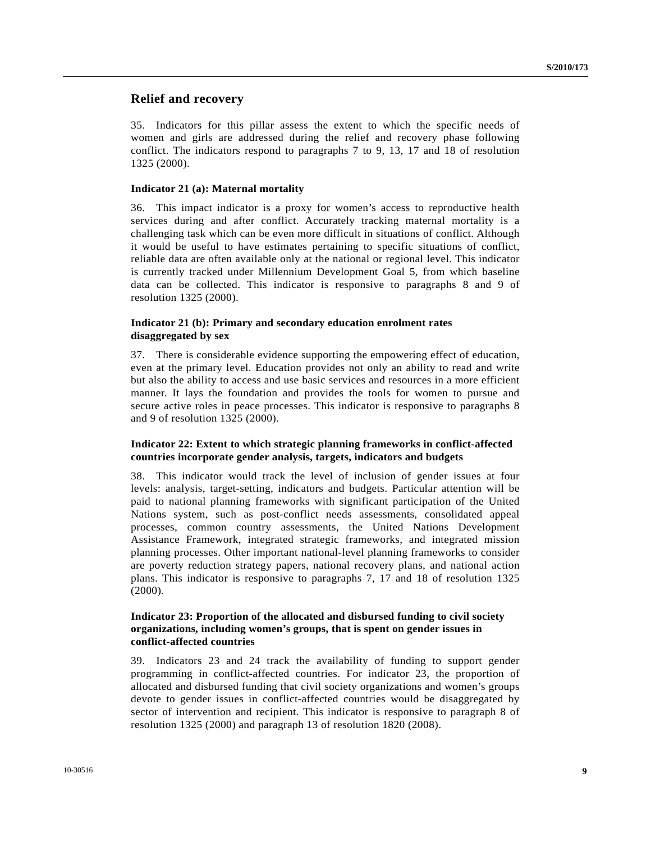## **Relief and recovery**

35. Indicators for this pillar assess the extent to which the specific needs of women and girls are addressed during the relief and recovery phase following conflict. The indicators respond to paragraphs 7 to 9, 13, 17 and 18 of resolution 1325 (2000).

#### **Indicator 21 (a): Maternal mortality**

36. This impact indicator is a proxy for women's access to reproductive health services during and after conflict. Accurately tracking maternal mortality is a challenging task which can be even more difficult in situations of conflict. Although it would be useful to have estimates pertaining to specific situations of conflict, reliable data are often available only at the national or regional level. This indicator is currently tracked under Millennium Development Goal 5, from which baseline data can be collected. This indicator is responsive to paragraphs 8 and 9 of resolution 1325 (2000).

### **Indicator 21 (b): Primary and secondary education enrolment rates disaggregated by sex**

37. There is considerable evidence supporting the empowering effect of education, even at the primary level. Education provides not only an ability to read and write but also the ability to access and use basic services and resources in a more efficient manner. It lays the foundation and provides the tools for women to pursue and secure active roles in peace processes. This indicator is responsive to paragraphs 8 and 9 of resolution 1325 (2000).

## **Indicator 22: Extent to which strategic planning frameworks in conflict-affected countries incorporate gender analysis, targets, indicators and budgets**

38. This indicator would track the level of inclusion of gender issues at four levels: analysis, target-setting, indicators and budgets. Particular attention will be paid to national planning frameworks with significant participation of the United Nations system, such as post-conflict needs assessments, consolidated appeal processes, common country assessments, the United Nations Development Assistance Framework, integrated strategic frameworks, and integrated mission planning processes. Other important national-level planning frameworks to consider are poverty reduction strategy papers, national recovery plans, and national action plans. This indicator is responsive to paragraphs 7, 17 and 18 of resolution 1325 (2000).

## **Indicator 23: Proportion of the allocated and disbursed funding to civil society organizations, including women's groups, that is spent on gender issues in conflict-affected countries**

39. Indicators 23 and 24 track the availability of funding to support gender programming in conflict-affected countries. For indicator 23, the proportion of allocated and disbursed funding that civil society organizations and women's groups devote to gender issues in conflict-affected countries would be disaggregated by sector of intervention and recipient. This indicator is responsive to paragraph 8 of resolution 1325 (2000) and paragraph 13 of resolution 1820 (2008).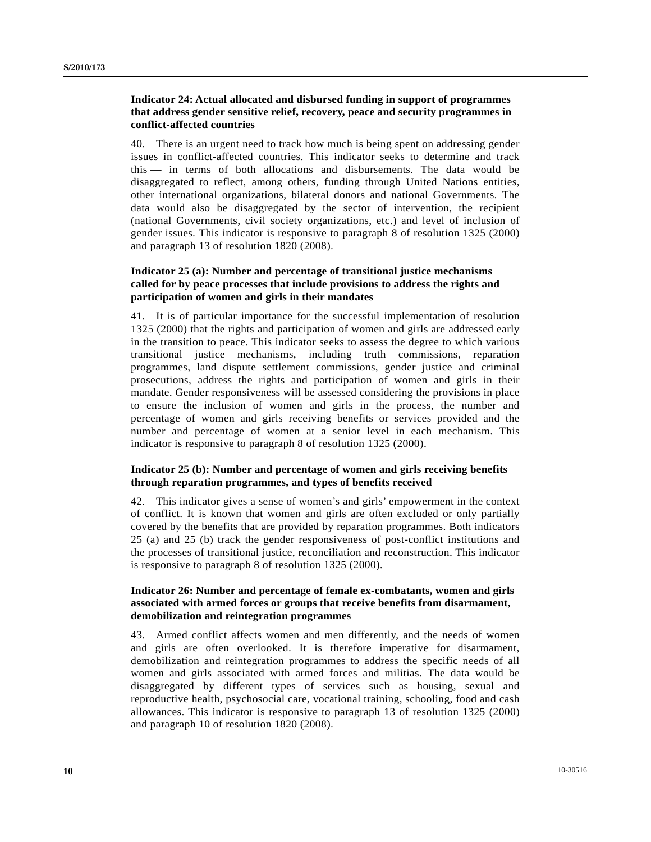## **Indicator 24: Actual allocated and disbursed funding in support of programmes that address gender sensitive relief, recovery, peace and security programmes in conflict-affected countries**

40. There is an urgent need to track how much is being spent on addressing gender issues in conflict-affected countries. This indicator seeks to determine and track this — in terms of both allocations and disbursements. The data would be disaggregated to reflect, among others, funding through United Nations entities, other international organizations, bilateral donors and national Governments. The data would also be disaggregated by the sector of intervention, the recipient (national Governments, civil society organizations, etc.) and level of inclusion of gender issues. This indicator is responsive to paragraph 8 of resolution 1325 (2000) and paragraph 13 of resolution 1820 (2008).

## **Indicator 25 (a): Number and percentage of transitional justice mechanisms called for by peace processes that include provisions to address the rights and participation of women and girls in their mandates**

41. It is of particular importance for the successful implementation of resolution 1325 (2000) that the rights and participation of women and girls are addressed early in the transition to peace. This indicator seeks to assess the degree to which various transitional justice mechanisms, including truth commissions, reparation programmes, land dispute settlement commissions, gender justice and criminal prosecutions, address the rights and participation of women and girls in their mandate. Gender responsiveness will be assessed considering the provisions in place to ensure the inclusion of women and girls in the process, the number and percentage of women and girls receiving benefits or services provided and the number and percentage of women at a senior level in each mechanism. This indicator is responsive to paragraph 8 of resolution 1325 (2000).

## **Indicator 25 (b): Number and percentage of women and girls receiving benefits through reparation programmes, and types of benefits received**

42. This indicator gives a sense of women's and girls' empowerment in the context of conflict. It is known that women and girls are often excluded or only partially covered by the benefits that are provided by reparation programmes. Both indicators 25 (a) and 25 (b) track the gender responsiveness of post-conflict institutions and the processes of transitional justice, reconciliation and reconstruction. This indicator is responsive to paragraph 8 of resolution 1325 (2000).

## **Indicator 26: Number and percentage of female ex-combatants, women and girls associated with armed forces or groups that receive benefits from disarmament, demobilization and reintegration programmes**

43. Armed conflict affects women and men differently, and the needs of women and girls are often overlooked. It is therefore imperative for disarmament, demobilization and reintegration programmes to address the specific needs of all women and girls associated with armed forces and militias. The data would be disaggregated by different types of services such as housing, sexual and reproductive health, psychosocial care, vocational training, schooling, food and cash allowances. This indicator is responsive to paragraph 13 of resolution 1325 (2000) and paragraph 10 of resolution 1820 (2008).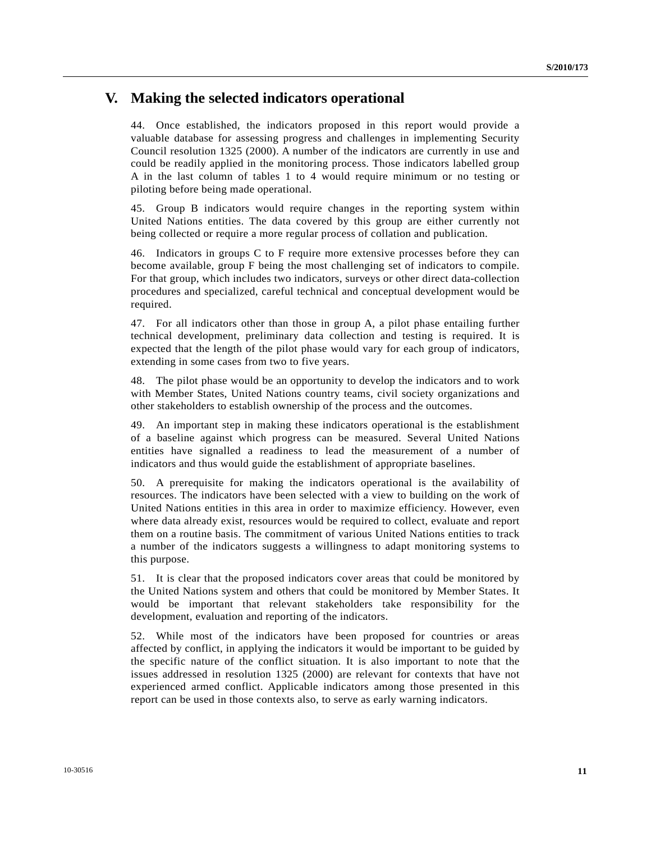# **V. Making the selected indicators operational**

44. Once established, the indicators proposed in this report would provide a valuable database for assessing progress and challenges in implementing Security Council resolution 1325 (2000). A number of the indicators are currently in use and could be readily applied in the monitoring process. Those indicators labelled group A in the last column of tables 1 to 4 would require minimum or no testing or piloting before being made operational.

45. Group B indicators would require changes in the reporting system within United Nations entities. The data covered by this group are either currently not being collected or require a more regular process of collation and publication.

46. Indicators in groups C to F require more extensive processes before they can become available, group F being the most challenging set of indicators to compile. For that group, which includes two indicators, surveys or other direct data-collection procedures and specialized, careful technical and conceptual development would be required.

47. For all indicators other than those in group A, a pilot phase entailing further technical development, preliminary data collection and testing is required. It is expected that the length of the pilot phase would vary for each group of indicators, extending in some cases from two to five years.

48. The pilot phase would be an opportunity to develop the indicators and to work with Member States, United Nations country teams, civil society organizations and other stakeholders to establish ownership of the process and the outcomes.

49. An important step in making these indicators operational is the establishment of a baseline against which progress can be measured. Several United Nations entities have signalled a readiness to lead the measurement of a number of indicators and thus would guide the establishment of appropriate baselines.

50. A prerequisite for making the indicators operational is the availability of resources. The indicators have been selected with a view to building on the work of United Nations entities in this area in order to maximize efficiency. However, even where data already exist, resources would be required to collect, evaluate and report them on a routine basis. The commitment of various United Nations entities to track a number of the indicators suggests a willingness to adapt monitoring systems to this purpose.

51. It is clear that the proposed indicators cover areas that could be monitored by the United Nations system and others that could be monitored by Member States. It would be important that relevant stakeholders take responsibility for the development, evaluation and reporting of the indicators.

52. While most of the indicators have been proposed for countries or areas affected by conflict, in applying the indicators it would be important to be guided by the specific nature of the conflict situation. It is also important to note that the issues addressed in resolution 1325 (2000) are relevant for contexts that have not experienced armed conflict. Applicable indicators among those presented in this report can be used in those contexts also, to serve as early warning indicators.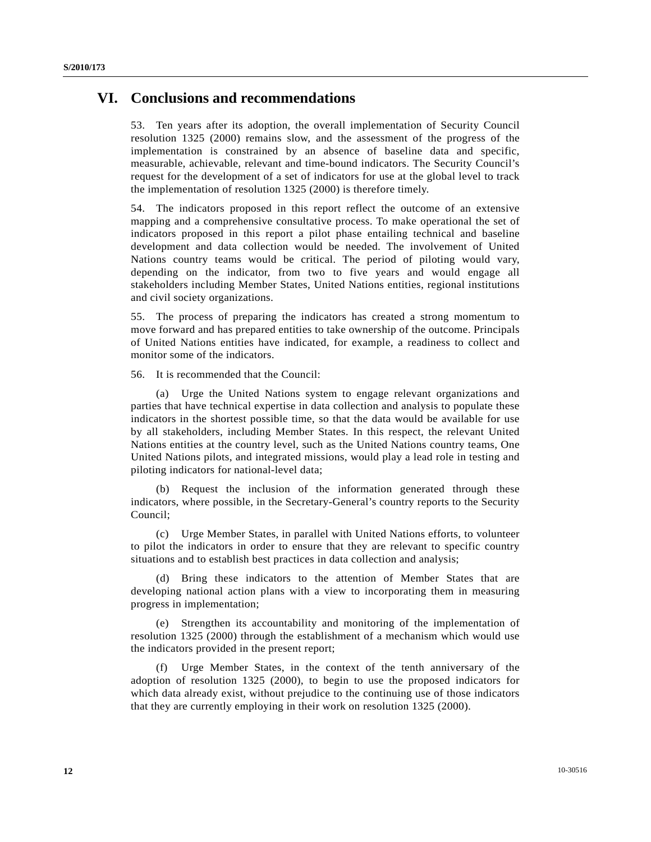# **VI. Conclusions and recommendations**

53. Ten years after its adoption, the overall implementation of Security Council resolution 1325 (2000) remains slow, and the assessment of the progress of the implementation is constrained by an absence of baseline data and specific, measurable, achievable, relevant and time-bound indicators. The Security Council's request for the development of a set of indicators for use at the global level to track the implementation of resolution 1325 (2000) is therefore timely.

54. The indicators proposed in this report reflect the outcome of an extensive mapping and a comprehensive consultative process. To make operational the set of indicators proposed in this report a pilot phase entailing technical and baseline development and data collection would be needed. The involvement of United Nations country teams would be critical. The period of piloting would vary, depending on the indicator, from two to five years and would engage all stakeholders including Member States, United Nations entities, regional institutions and civil society organizations.

55. The process of preparing the indicators has created a strong momentum to move forward and has prepared entities to take ownership of the outcome. Principals of United Nations entities have indicated, for example, a readiness to collect and monitor some of the indicators.

56. It is recommended that the Council:

 (a) Urge the United Nations system to engage relevant organizations and parties that have technical expertise in data collection and analysis to populate these indicators in the shortest possible time, so that the data would be available for use by all stakeholders, including Member States. In this respect, the relevant United Nations entities at the country level, such as the United Nations country teams, One United Nations pilots, and integrated missions, would play a lead role in testing and piloting indicators for national-level data;

 (b) Request the inclusion of the information generated through these indicators, where possible, in the Secretary-General's country reports to the Security Council;

 (c) Urge Member States, in parallel with United Nations efforts, to volunteer to pilot the indicators in order to ensure that they are relevant to specific country situations and to establish best practices in data collection and analysis;

 (d) Bring these indicators to the attention of Member States that are developing national action plans with a view to incorporating them in measuring progress in implementation;

 (e) Strengthen its accountability and monitoring of the implementation of resolution 1325 (2000) through the establishment of a mechanism which would use the indicators provided in the present report;

 (f) Urge Member States, in the context of the tenth anniversary of the adoption of resolution 1325 (2000), to begin to use the proposed indicators for which data already exist, without prejudice to the continuing use of those indicators that they are currently employing in their work on resolution 1325 (2000).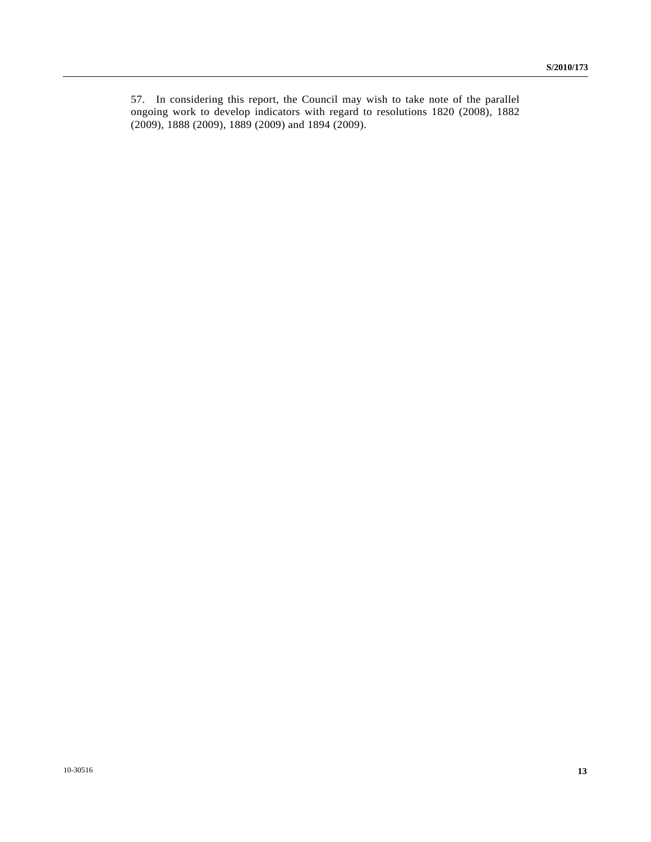57. In considering this report, the Council may wish to take note of the parallel ongoing work to develop indicators with regard to resolutions 1820 (2008), 1882 (2009), 1888 (2009), 1889 (2009) and 1894 (2009).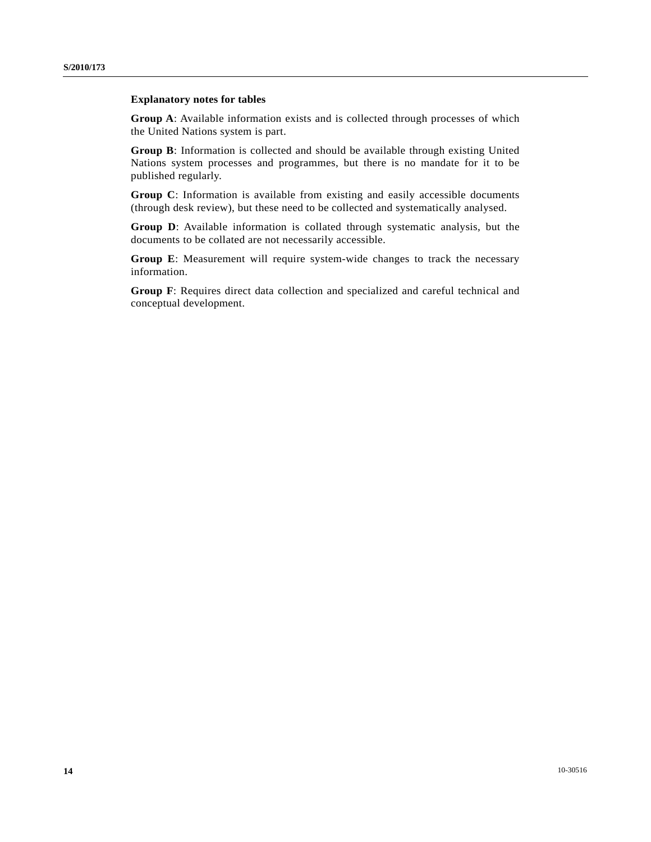## **Explanatory notes for tables**

**Group A**: Available information exists and is collected through processes of which the United Nations system is part.

**Group B**: Information is collected and should be available through existing United Nations system processes and programmes, but there is no mandate for it to be published regularly.

**Group C**: Information is available from existing and easily accessible documents (through desk review), but these need to be collected and systematically analysed.

**Group D**: Available information is collated through systematic analysis, but the documents to be collated are not necessarily accessible.

**Group E**: Measurement will require system-wide changes to track the necessary information.

**Group F**: Requires direct data collection and specialized and careful technical and conceptual development.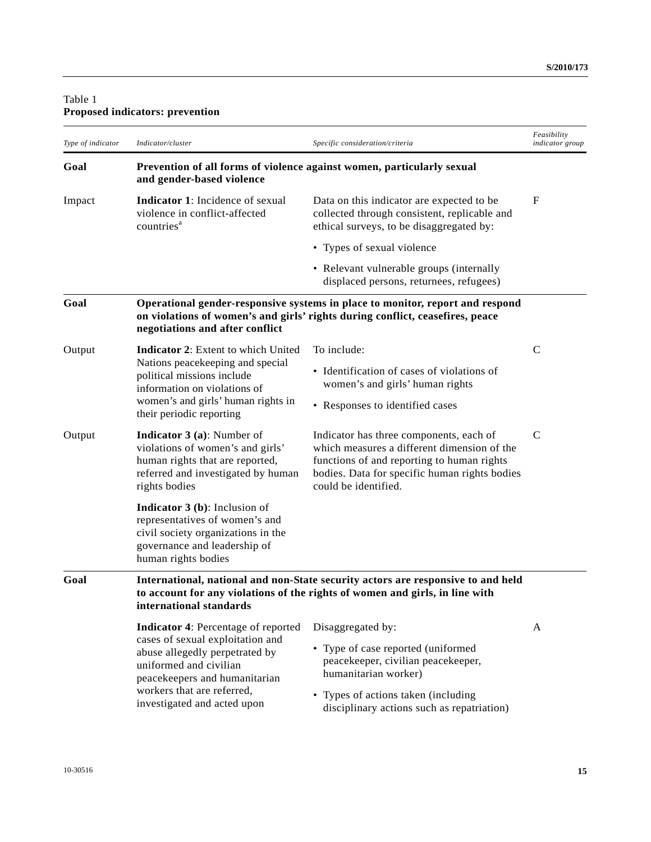# Table 1 **Proposed indicators: prevention**

| Type of indicator | Indicator/cluster                                                                                                                                                                                                                        | Specific consideration/criteria                                                                                                                                                                               | Feasibility<br>indicator group |
|-------------------|------------------------------------------------------------------------------------------------------------------------------------------------------------------------------------------------------------------------------------------|---------------------------------------------------------------------------------------------------------------------------------------------------------------------------------------------------------------|--------------------------------|
| Goal              | Prevention of all forms of violence against women, particularly sexual<br>and gender-based violence                                                                                                                                      |                                                                                                                                                                                                               |                                |
| Impact            | <b>Indicator 1:</b> Incidence of sexual<br>violence in conflict-affected<br>countries <sup>a</sup>                                                                                                                                       | Data on this indicator are expected to be<br>collected through consistent, replicable and<br>ethical surveys, to be disaggregated by:                                                                         | F                              |
|                   |                                                                                                                                                                                                                                          | • Types of sexual violence                                                                                                                                                                                    |                                |
|                   |                                                                                                                                                                                                                                          | • Relevant vulnerable groups (internally<br>displaced persons, returnees, refugees)                                                                                                                           |                                |
| Goal              | negotiations and after conflict                                                                                                                                                                                                          | Operational gender-responsive systems in place to monitor, report and respond<br>on violations of women's and girls' rights during conflict, ceasefires, peace                                                |                                |
| Output            | <b>Indicator 2:</b> Extent to which United                                                                                                                                                                                               | To include:                                                                                                                                                                                                   | $\mathsf{C}$                   |
|                   | Nations peacekeeping and special<br>political missions include<br>information on violations of                                                                                                                                           | • Identification of cases of violations of<br>women's and girls' human rights                                                                                                                                 |                                |
|                   | women's and girls' human rights in<br>their periodic reporting                                                                                                                                                                           | • Responses to identified cases                                                                                                                                                                               |                                |
| Output            | <b>Indicator 3 (a):</b> Number of<br>violations of women's and girls'<br>human rights that are reported,<br>referred and investigated by human<br>rights bodies                                                                          | Indicator has three components, each of<br>which measures a different dimension of the<br>functions of and reporting to human rights<br>bodies. Data for specific human rights bodies<br>could be identified. | $\mathbf C$                    |
|                   | <b>Indicator 3</b> (b): Inclusion of<br>representatives of women's and<br>civil society organizations in the<br>governance and leadership of<br>human rights bodies                                                                      |                                                                                                                                                                                                               |                                |
| Goal              | international standards                                                                                                                                                                                                                  | International, national and non-State security actors are responsive to and held<br>to account for any violations of the rights of women and girls, in line with                                              |                                |
|                   | <b>Indicator 4:</b> Percentage of reported<br>cases of sexual exploitation and<br>abuse allegedly perpetrated by<br>uniformed and civilian<br>peacekeepers and humanitarian<br>workers that are referred,<br>investigated and acted upon | Disaggregated by:                                                                                                                                                                                             | A                              |
|                   |                                                                                                                                                                                                                                          | • Type of case reported (uniformed<br>peacekeeper, civilian peacekeeper,<br>humanitarian worker)                                                                                                              |                                |
|                   |                                                                                                                                                                                                                                          | • Types of actions taken (including<br>disciplinary actions such as repatriation)                                                                                                                             |                                |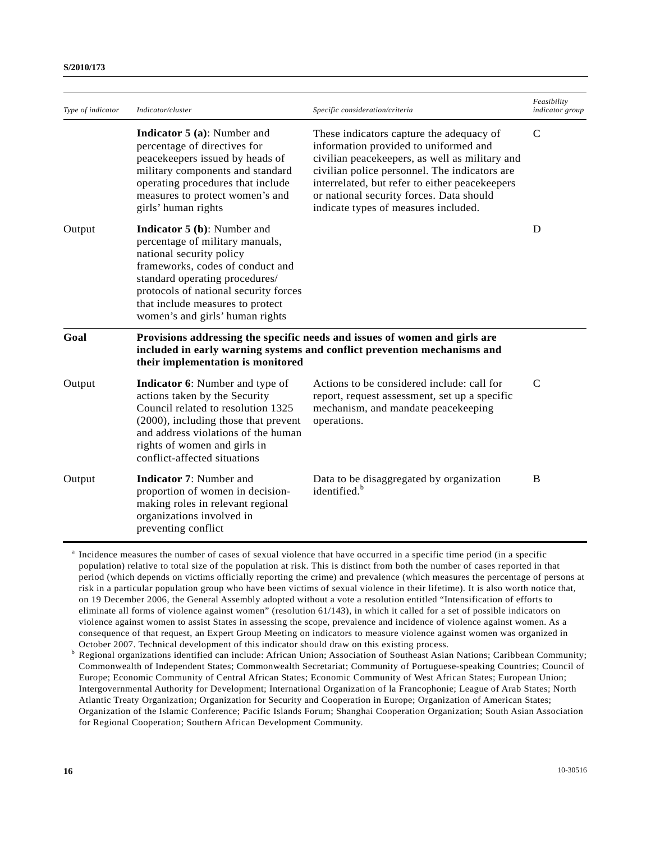|                   |                                                                                                                                                                                                                                                                                         |                                                                                                                                                                                                                                                                                                                            | Feasibility     |
|-------------------|-----------------------------------------------------------------------------------------------------------------------------------------------------------------------------------------------------------------------------------------------------------------------------------------|----------------------------------------------------------------------------------------------------------------------------------------------------------------------------------------------------------------------------------------------------------------------------------------------------------------------------|-----------------|
| Type of indicator | Indicator/cluster                                                                                                                                                                                                                                                                       | Specific consideration/criteria                                                                                                                                                                                                                                                                                            | indicator group |
|                   | <b>Indicator 5 (a):</b> Number and<br>percentage of directives for<br>peacekeepers issued by heads of<br>military components and standard<br>operating procedures that include<br>measures to protect women's and<br>girls' human rights                                                | These indicators capture the adequacy of<br>information provided to uniformed and<br>civilian peacekeepers, as well as military and<br>civilian police personnel. The indicators are<br>interrelated, but refer to either peacekeepers<br>or national security forces. Data should<br>indicate types of measures included. | $\mathsf{C}$    |
| Output            | <b>Indicator 5 (b):</b> Number and<br>percentage of military manuals,<br>national security policy<br>frameworks, codes of conduct and<br>standard operating procedures/<br>protocols of national security forces<br>that include measures to protect<br>women's and girls' human rights |                                                                                                                                                                                                                                                                                                                            | D               |
| Goal              | Provisions addressing the specific needs and issues of women and girls are<br>included in early warning systems and conflict prevention mechanisms and<br>their implementation is monitored                                                                                             |                                                                                                                                                                                                                                                                                                                            |                 |
| Output            | <b>Indicator 6:</b> Number and type of<br>actions taken by the Security<br>Council related to resolution 1325<br>(2000), including those that prevent<br>and address violations of the human<br>rights of women and girls in<br>conflict-affected situations                            | Actions to be considered include: call for<br>report, request assessment, set up a specific<br>mechanism, and mandate peacekeeping<br>operations.                                                                                                                                                                          | $\mathcal{C}$   |
| Output            | <b>Indicator 7: Number and</b><br>proportion of women in decision-<br>making roles in relevant regional<br>organizations involved in<br>preventing conflict                                                                                                                             | Data to be disaggregated by organization<br>identified. <sup>b</sup>                                                                                                                                                                                                                                                       | B               |

<sup>a</sup> Incidence measures the number of cases of sexual violence that have occurred in a specific time period (in a specific population) relative to total size of the population at risk. This is distinct from both the number of cases reported in that period (which depends on victims officially reporting the crime) and prevalence (which measures the percentage of persons at risk in a particular population group who have been victims of sexual violence in their lifetime). It is also worth notice that, on 19 December 2006, the General Assembly adopted without a vote a resolution entitled "Intensification of efforts to eliminate all forms of violence against women" (resolution 61/143), in which it called for a set of possible indicators on violence against women to assist States in assessing the scope, prevalence and incidence of violence against women. As a consequence of that request, an Expert Group Meeting on indicators to measure violence against women was organized in October 2007. Technical development of this indicator should draw on this existing process.

 Regional organizations identified can include: African Union; Association of Southeast Asian Nations; Caribbean Community; Commonwealth of Independent States; Commonwealth Secretariat; Community of Portuguese-speaking Countries; Council of Europe; Economic Community of Central African States; Economic Community of West African States; European Union; Intergovernmental Authority for Development; International Organization of la Francophonie; League of Arab States; North Atlantic Treaty Organization; Organization for Security and Cooperation in Europe; Organization of American States; Organization of the Islamic Conference; Pacific Islands Forum; Shanghai Cooperation Organization; South Asian Association for Regional Cooperation; Southern African Development Community.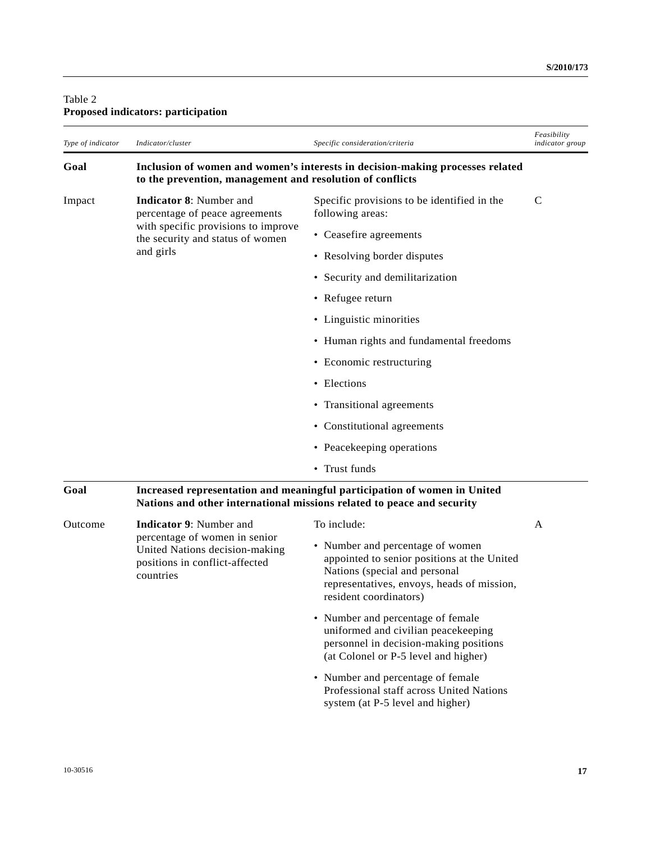## Table 2 **Proposed indicators: participation**

| Type of indicator | Indicator/cluster                                                                                                                                  | Specific consideration/criteria                                                                                  | Feasibility<br>indicator group |
|-------------------|----------------------------------------------------------------------------------------------------------------------------------------------------|------------------------------------------------------------------------------------------------------------------|--------------------------------|
| Goal              | to the prevention, management and resolution of conflicts                                                                                          | Inclusion of women and women's interests in decision-making processes related                                    |                                |
| Impact            | <b>Indicator 8:</b> Number and<br>percentage of peace agreements<br>with specific provisions to improve<br>the security and status of women        | Specific provisions to be identified in the<br>following areas:                                                  | C                              |
|                   |                                                                                                                                                    | • Ceasefire agreements                                                                                           |                                |
|                   | and girls                                                                                                                                          | • Resolving border disputes                                                                                      |                                |
|                   |                                                                                                                                                    | • Security and demilitarization                                                                                  |                                |
|                   |                                                                                                                                                    | • Refugee return                                                                                                 |                                |
|                   |                                                                                                                                                    | • Linguistic minorities                                                                                          |                                |
|                   |                                                                                                                                                    | • Human rights and fundamental freedoms                                                                          |                                |
|                   |                                                                                                                                                    | • Economic restructuring                                                                                         |                                |
|                   |                                                                                                                                                    | • Elections                                                                                                      |                                |
|                   |                                                                                                                                                    | • Transitional agreements                                                                                        |                                |
|                   |                                                                                                                                                    | • Constitutional agreements                                                                                      |                                |
|                   |                                                                                                                                                    | • Peacekeeping operations                                                                                        |                                |
|                   |                                                                                                                                                    | • Trust funds                                                                                                    |                                |
| Goal              | Increased representation and meaningful participation of women in United<br>Nations and other international missions related to peace and security |                                                                                                                  |                                |
| Outcome           | <b>Indicator 9: Number and</b>                                                                                                                     | To include:                                                                                                      | $\mathsf{A}$                   |
|                   | percentage of women in senior<br>United Nations decision-making<br>positions in conflict-affected<br>countries                                     | • Number and percentage of women<br>appointed to senior positions at the United<br>Nations (special and personal |                                |

representatives, envoys, heads of mission,

resident coordinators)

• Number and percentage of female uniformed and civilian peacekeeping personnel in decision-making positions (at Colonel or P-5 level and higher)

• Number and percentage of female

system (at P-5 level and higher)

Professional staff across United Nations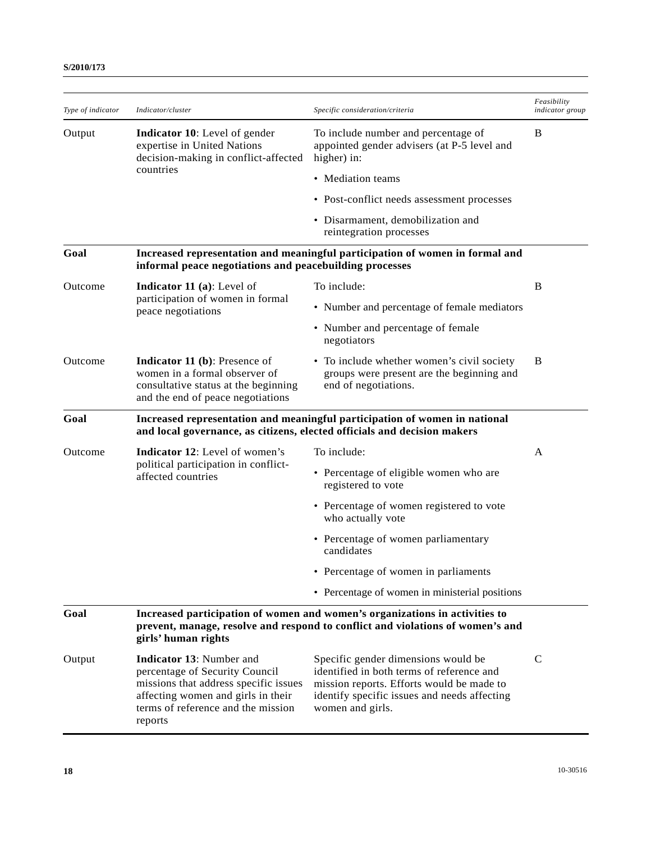| Type of indicator | Indicator/cluster                                                                                                                                                                                 | Specific consideration/criteria                                                                                                                                                                   | Feasibility<br><i>indicator group</i> |
|-------------------|---------------------------------------------------------------------------------------------------------------------------------------------------------------------------------------------------|---------------------------------------------------------------------------------------------------------------------------------------------------------------------------------------------------|---------------------------------------|
| Output            | <b>Indicator 10:</b> Level of gender<br>expertise in United Nations<br>decision-making in conflict-affected<br>countries                                                                          | To include number and percentage of<br>appointed gender advisers (at P-5 level and<br>higher) in:                                                                                                 | B                                     |
|                   |                                                                                                                                                                                                   | • Mediation teams                                                                                                                                                                                 |                                       |
|                   |                                                                                                                                                                                                   | • Post-conflict needs assessment processes                                                                                                                                                        |                                       |
|                   |                                                                                                                                                                                                   | • Disarmament, demobilization and<br>reintegration processes                                                                                                                                      |                                       |
| Goal              | Increased representation and meaningful participation of women in formal and<br>informal peace negotiations and peacebuilding processes                                                           |                                                                                                                                                                                                   |                                       |
| Outcome           | <b>Indicator 11</b> (a): Level of                                                                                                                                                                 | To include:                                                                                                                                                                                       | B                                     |
|                   | participation of women in formal<br>peace negotiations                                                                                                                                            | • Number and percentage of female mediators                                                                                                                                                       |                                       |
|                   |                                                                                                                                                                                                   | • Number and percentage of female<br>negotiators                                                                                                                                                  |                                       |
| Outcome           | <b>Indicator 11 (b): Presence of</b><br>women in a formal observer of<br>consultative status at the beginning<br>and the end of peace negotiations                                                | • To include whether women's civil society<br>groups were present are the beginning and<br>end of negotiations.                                                                                   | B                                     |
| Goal              | Increased representation and meaningful participation of women in national<br>and local governance, as citizens, elected officials and decision makers                                            |                                                                                                                                                                                                   |                                       |
| Outcome           | Indicator 12: Level of women's<br>political participation in conflict-<br>affected countries                                                                                                      | To include:                                                                                                                                                                                       | A                                     |
|                   |                                                                                                                                                                                                   | • Percentage of eligible women who are<br>registered to vote                                                                                                                                      |                                       |
|                   |                                                                                                                                                                                                   | • Percentage of women registered to vote<br>who actually vote                                                                                                                                     |                                       |
|                   |                                                                                                                                                                                                   | • Percentage of women parliamentary<br>candidates                                                                                                                                                 |                                       |
|                   |                                                                                                                                                                                                   | • Percentage of women in parliaments                                                                                                                                                              |                                       |
|                   |                                                                                                                                                                                                   | • Percentage of women in ministerial positions                                                                                                                                                    |                                       |
| Goal              | Increased participation of women and women's organizations in activities to<br>prevent, manage, resolve and respond to conflict and violations of women's and<br>girls' human rights              |                                                                                                                                                                                                   |                                       |
| Output            | <b>Indicator 13:</b> Number and<br>percentage of Security Council<br>missions that address specific issues<br>affecting women and girls in their<br>terms of reference and the mission<br>reports | Specific gender dimensions would be<br>identified in both terms of reference and<br>mission reports. Efforts would be made to<br>identify specific issues and needs affecting<br>women and girls. | $\mathsf{C}$                          |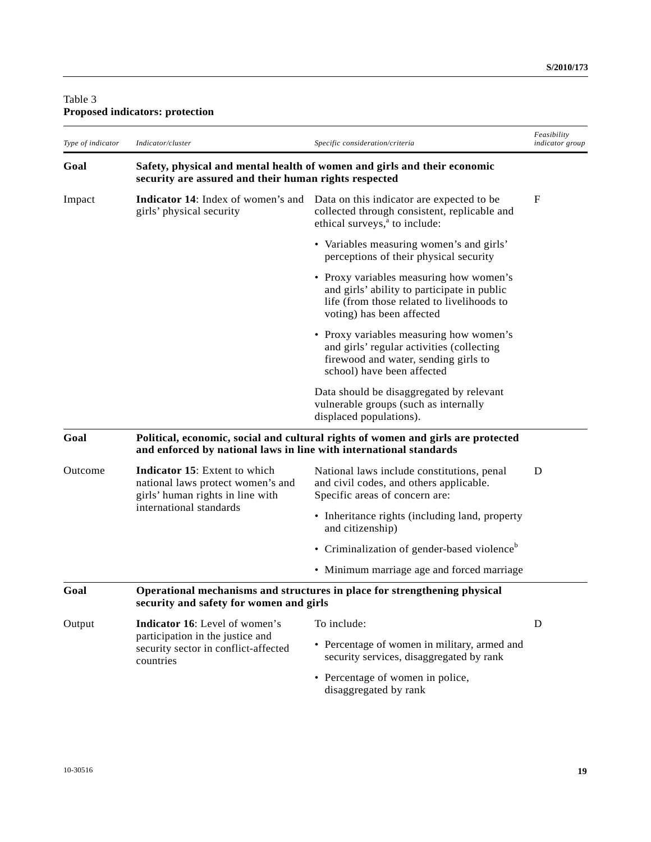# Table 3 **Proposed indicators: protection**

| Type of indicator | Indicator/cluster                                                                                                                                      | Specific consideration/criteria                                                                                                                                   | Feasibility<br>indicator group |
|-------------------|--------------------------------------------------------------------------------------------------------------------------------------------------------|-------------------------------------------------------------------------------------------------------------------------------------------------------------------|--------------------------------|
| Goal              | Safety, physical and mental health of women and girls and their economic<br>security are assured and their human rights respected                      |                                                                                                                                                                   |                                |
| Impact            | <b>Indicator 14:</b> Index of women's and<br>girls' physical security                                                                                  | Data on this indicator are expected to be<br>collected through consistent, replicable and<br>ethical surveys, <sup>a</sup> to include:                            | F                              |
|                   |                                                                                                                                                        | • Variables measuring women's and girls'<br>perceptions of their physical security                                                                                |                                |
|                   |                                                                                                                                                        | • Proxy variables measuring how women's<br>and girls' ability to participate in public<br>life (from those related to livelihoods to<br>voting) has been affected |                                |
|                   |                                                                                                                                                        | • Proxy variables measuring how women's<br>and girls' regular activities (collecting<br>firewood and water, sending girls to<br>school) have been affected        |                                |
|                   |                                                                                                                                                        | Data should be disaggregated by relevant<br>vulnerable groups (such as internally<br>displaced populations).                                                      |                                |
| Goal              | Political, economic, social and cultural rights of women and girls are protected<br>and enforced by national laws in line with international standards |                                                                                                                                                                   |                                |
| Outcome           | <b>Indicator 15:</b> Extent to which<br>national laws protect women's and<br>girls' human rights in line with<br>international standards               | National laws include constitutions, penal<br>and civil codes, and others applicable.<br>Specific areas of concern are:                                           | D                              |
|                   |                                                                                                                                                        | • Inheritance rights (including land, property<br>and citizenship)                                                                                                |                                |
|                   |                                                                                                                                                        | • Criminalization of gender-based violence <sup>b</sup>                                                                                                           |                                |
|                   |                                                                                                                                                        | • Minimum marriage age and forced marriage                                                                                                                        |                                |
| Goal              | Operational mechanisms and structures in place for strengthening physical<br>security and safety for women and girls                                   |                                                                                                                                                                   |                                |
| Output            | <b>Indicator 16:</b> Level of women's<br>participation in the justice and<br>security sector in conflict-affected<br>countries                         | To include:                                                                                                                                                       | D                              |
|                   |                                                                                                                                                        | • Percentage of women in military, armed and<br>security services, disaggregated by rank                                                                          |                                |
|                   |                                                                                                                                                        | • Percentage of women in police,<br>disaggregated by rank                                                                                                         |                                |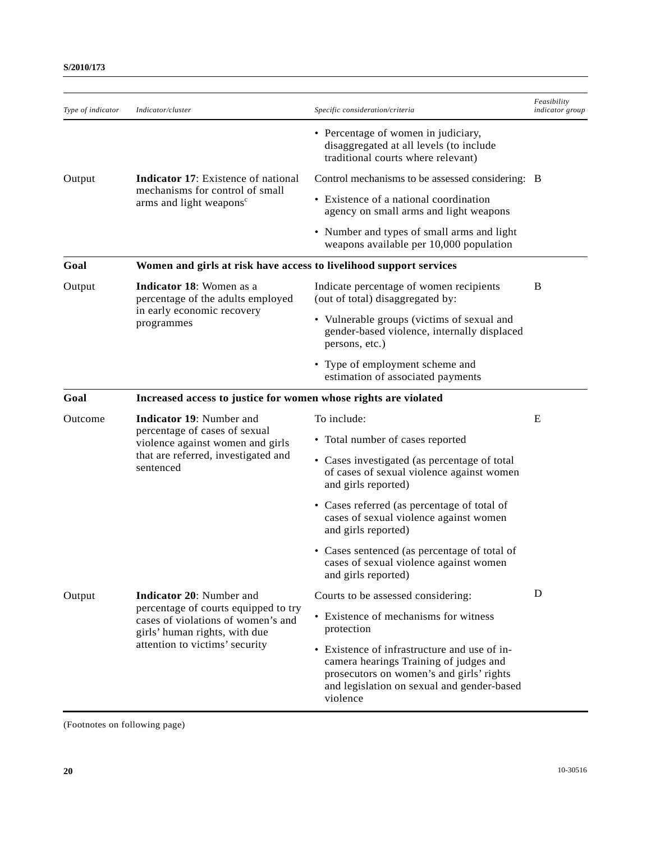| Type of indicator | Indicator/cluster                                                                                                                                                                | Specific consideration/criteria                                                                                                                                                              | Feasibility<br>indicator group |
|-------------------|----------------------------------------------------------------------------------------------------------------------------------------------------------------------------------|----------------------------------------------------------------------------------------------------------------------------------------------------------------------------------------------|--------------------------------|
|                   |                                                                                                                                                                                  | • Percentage of women in judiciary,<br>disaggregated at all levels (to include<br>traditional courts where relevant)                                                                         |                                |
| Output            | <b>Indicator 17:</b> Existence of national                                                                                                                                       | Control mechanisms to be assessed considering: B                                                                                                                                             |                                |
|                   | mechanisms for control of small<br>arms and light weapons <sup>c</sup>                                                                                                           | • Existence of a national coordination<br>agency on small arms and light weapons                                                                                                             |                                |
|                   |                                                                                                                                                                                  | • Number and types of small arms and light<br>weapons available per 10,000 population                                                                                                        |                                |
| Goal              | Women and girls at risk have access to livelihood support services                                                                                                               |                                                                                                                                                                                              |                                |
| Output            | Indicator 18: Women as a<br>percentage of the adults employed<br>in early economic recovery<br>programmes                                                                        | Indicate percentage of women recipients<br>(out of total) disaggregated by:                                                                                                                  | B                              |
|                   |                                                                                                                                                                                  | • Vulnerable groups (victims of sexual and<br>gender-based violence, internally displaced<br>persons, etc.)                                                                                  |                                |
|                   |                                                                                                                                                                                  | • Type of employment scheme and<br>estimation of associated payments                                                                                                                         |                                |
| Goal              | Increased access to justice for women whose rights are violated                                                                                                                  |                                                                                                                                                                                              |                                |
| Outcome           | <b>Indicator 19:</b> Number and<br>percentage of cases of sexual<br>violence against women and girls<br>that are referred, investigated and<br>sentenced                         | To include:                                                                                                                                                                                  | E                              |
|                   |                                                                                                                                                                                  | • Total number of cases reported                                                                                                                                                             |                                |
|                   |                                                                                                                                                                                  | • Cases investigated (as percentage of total<br>of cases of sexual violence against women<br>and girls reported)                                                                             |                                |
|                   |                                                                                                                                                                                  | • Cases referred (as percentage of total of<br>cases of sexual violence against women<br>and girls reported)                                                                                 |                                |
|                   |                                                                                                                                                                                  | • Cases sentenced (as percentage of total of<br>cases of sexual violence against women<br>and girls reported)                                                                                |                                |
| Output            | <b>Indicator 20:</b> Number and<br>percentage of courts equipped to try<br>cases of violations of women's and<br>girls' human rights, with due<br>attention to victims' security | Courts to be assessed considering:                                                                                                                                                           | D                              |
|                   |                                                                                                                                                                                  | • Existence of mechanisms for witness<br>protection                                                                                                                                          |                                |
|                   |                                                                                                                                                                                  | • Existence of infrastructure and use of in-<br>camera hearings Training of judges and<br>prosecutors on women's and girls' rights<br>and legislation on sexual and gender-based<br>violence |                                |

(Footnotes on following page)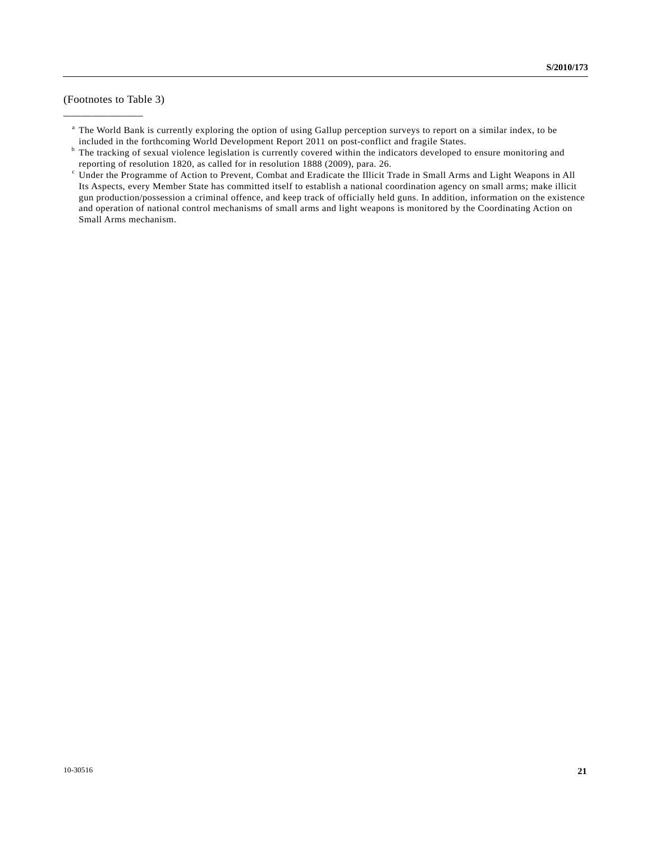(Footnotes to Table 3)

\_\_\_\_\_\_\_\_\_\_\_\_\_\_

<sup>a</sup> The World Bank is currently exploring the option of using Gallup perception surveys to report on a similar index, to be included in the forthcoming World Development Report 2011 on post-conflict and fragile States. b

<sup>&</sup>lt;sup>b</sup> The tracking of sexual violence legislation is currently covered within the indicators developed to ensure monitoring and reporting of resolution 1820, as called for in resolution 1888 (2009), para. 26.

<sup>&</sup>lt;sup>c</sup> Under the Programme of Action to Prevent, Combat and Eradicate the Illicit Trade in Small Arms and Light Weapons in All Its Aspects, every Member State has committed itself to establish a national coordination agency on small arms; make illicit gun production/possession a criminal offence, and keep track of officially held guns. In addition, information on the existence and operation of national control mechanisms of small arms and light weapons is monitored by the Coordinating Action on Small Arms mechanism.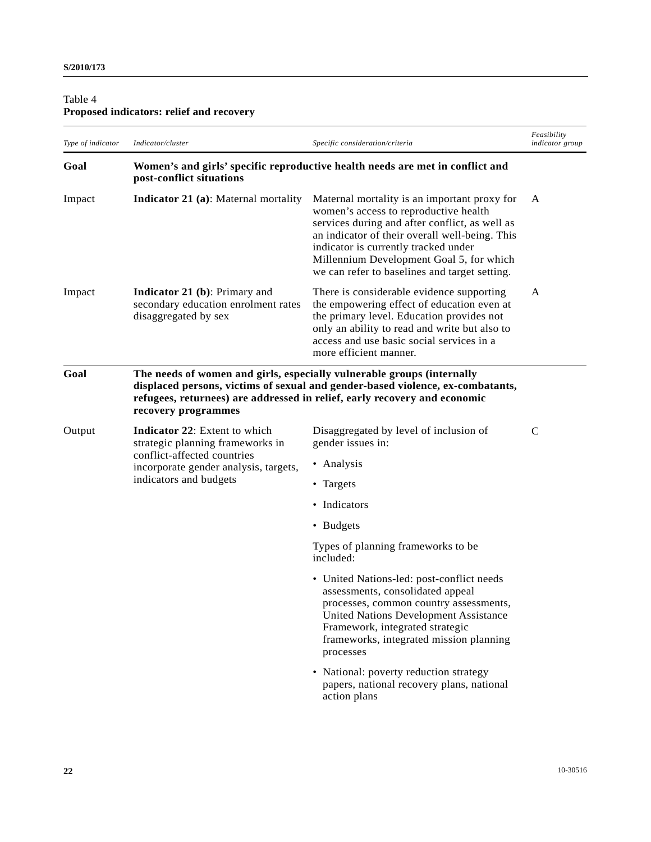# Table 4 **Proposed indicators: relief and recovery**

| Type of indicator | Indicator/cluster                                                                                                                                                          | Specific consideration/criteria                                                                                                                                                                                                                                                                                                | Feasibility<br><i>indicator group</i> |
|-------------------|----------------------------------------------------------------------------------------------------------------------------------------------------------------------------|--------------------------------------------------------------------------------------------------------------------------------------------------------------------------------------------------------------------------------------------------------------------------------------------------------------------------------|---------------------------------------|
| Goal              | post-conflict situations                                                                                                                                                   | Women's and girls' specific reproductive health needs are met in conflict and                                                                                                                                                                                                                                                  |                                       |
| Impact            | <b>Indicator 21 (a):</b> Maternal mortality                                                                                                                                | Maternal mortality is an important proxy for<br>women's access to reproductive health<br>services during and after conflict, as well as<br>an indicator of their overall well-being. This<br>indicator is currently tracked under<br>Millennium Development Goal 5, for which<br>we can refer to baselines and target setting. | A                                     |
| Impact            | <b>Indicator 21 (b): Primary and</b><br>secondary education enrolment rates<br>disaggregated by sex                                                                        | There is considerable evidence supporting<br>the empowering effect of education even at<br>the primary level. Education provides not<br>only an ability to read and write but also to<br>access and use basic social services in a<br>more efficient manner.                                                                   | A                                     |
| Goal              | The needs of women and girls, especially vulnerable groups (internally<br>recovery programmes                                                                              | displaced persons, victims of sexual and gender-based violence, ex-combatants,<br>refugees, returnees) are addressed in relief, early recovery and economic                                                                                                                                                                    |                                       |
| Output            | <b>Indicator 22:</b> Extent to which<br>strategic planning frameworks in<br>conflict-affected countries<br>incorporate gender analysis, targets,<br>indicators and budgets | Disaggregated by level of inclusion of<br>gender issues in:                                                                                                                                                                                                                                                                    | $\mathbf C$                           |
|                   |                                                                                                                                                                            | • Analysis                                                                                                                                                                                                                                                                                                                     |                                       |
|                   |                                                                                                                                                                            | • Targets                                                                                                                                                                                                                                                                                                                      |                                       |
|                   |                                                                                                                                                                            | • Indicators                                                                                                                                                                                                                                                                                                                   |                                       |
|                   |                                                                                                                                                                            | • Budgets                                                                                                                                                                                                                                                                                                                      |                                       |
|                   |                                                                                                                                                                            | Types of planning frameworks to be<br>included:                                                                                                                                                                                                                                                                                |                                       |
|                   |                                                                                                                                                                            | • United Nations-led: post-conflict needs<br>assessments, consolidated appeal<br>processes, common country assessments,<br><b>United Nations Development Assistance</b><br>Framework, integrated strategic<br>frameworks, integrated mission planning<br>processes                                                             |                                       |
|                   |                                                                                                                                                                            | • National: poverty reduction strategy<br>papers, national recovery plans, national<br>action plans                                                                                                                                                                                                                            |                                       |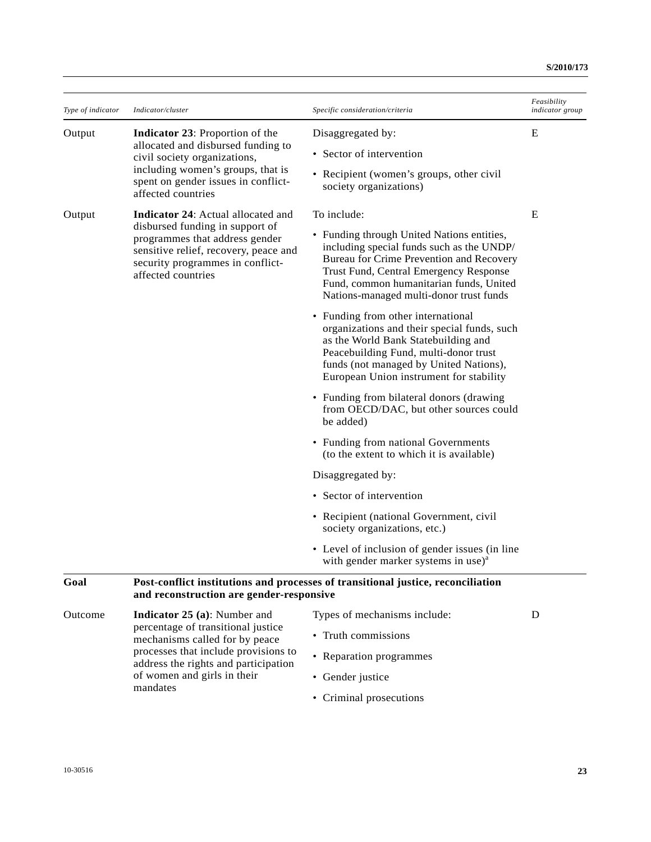| Type of indicator | Indicator/cluster                                                                                                                                                                                              | Specific consideration/criteria                                                                                                                                                                                                                                     | Feasibility<br><i>indicator group</i> |
|-------------------|----------------------------------------------------------------------------------------------------------------------------------------------------------------------------------------------------------------|---------------------------------------------------------------------------------------------------------------------------------------------------------------------------------------------------------------------------------------------------------------------|---------------------------------------|
| Output            | <b>Indicator 23:</b> Proportion of the<br>allocated and disbursed funding to<br>civil society organizations,<br>including women's groups, that is<br>spent on gender issues in conflict-<br>affected countries | Disaggregated by:                                                                                                                                                                                                                                                   | E                                     |
|                   |                                                                                                                                                                                                                | • Sector of intervention                                                                                                                                                                                                                                            |                                       |
|                   |                                                                                                                                                                                                                | • Recipient (women's groups, other civil<br>society organizations)                                                                                                                                                                                                  |                                       |
| Output            | Indicator 24: Actual allocated and<br>disbursed funding in support of<br>programmes that address gender<br>sensitive relief, recovery, peace and<br>security programmes in conflict-<br>affected countries     | To include:                                                                                                                                                                                                                                                         | E                                     |
|                   |                                                                                                                                                                                                                | • Funding through United Nations entities,<br>including special funds such as the UNDP/<br>Bureau for Crime Prevention and Recovery<br>Trust Fund, Central Emergency Response<br>Fund, common humanitarian funds, United<br>Nations-managed multi-donor trust funds |                                       |
|                   |                                                                                                                                                                                                                | • Funding from other international<br>organizations and their special funds, such<br>as the World Bank Statebuilding and<br>Peacebuilding Fund, multi-donor trust<br>funds (not managed by United Nations),<br>European Union instrument for stability              |                                       |
|                   |                                                                                                                                                                                                                | • Funding from bilateral donors (drawing<br>from OECD/DAC, but other sources could<br>be added)                                                                                                                                                                     |                                       |
|                   |                                                                                                                                                                                                                | • Funding from national Governments<br>(to the extent to which it is available)                                                                                                                                                                                     |                                       |
|                   |                                                                                                                                                                                                                | Disaggregated by:                                                                                                                                                                                                                                                   |                                       |
|                   |                                                                                                                                                                                                                | • Sector of intervention                                                                                                                                                                                                                                            |                                       |
|                   |                                                                                                                                                                                                                | • Recipient (national Government, civil<br>society organizations, etc.)                                                                                                                                                                                             |                                       |
|                   |                                                                                                                                                                                                                | • Level of inclusion of gender issues (in line<br>with gender marker systems in use) <sup>a</sup>                                                                                                                                                                   |                                       |
| Goal              | Post-conflict institutions and processes of transitional justice, reconciliation<br>and reconstruction are gender-responsive                                                                                   |                                                                                                                                                                                                                                                                     |                                       |
| Outcome           | <b>Indicator 25 (a):</b> Number and<br>percentage of transitional justice<br>mechanisms called for by peace<br>processes that include provisions to<br>بنعسمها وموامعاه نسمطه وممعه                            | Types of mechanisms include:                                                                                                                                                                                                                                        | D                                     |
|                   |                                                                                                                                                                                                                | • Truth commissions                                                                                                                                                                                                                                                 |                                       |
|                   |                                                                                                                                                                                                                | • Reparation programmes                                                                                                                                                                                                                                             |                                       |

• Criminal prosecutions

• Gender justice

address the rights and participation

of women and girls in their

mandates